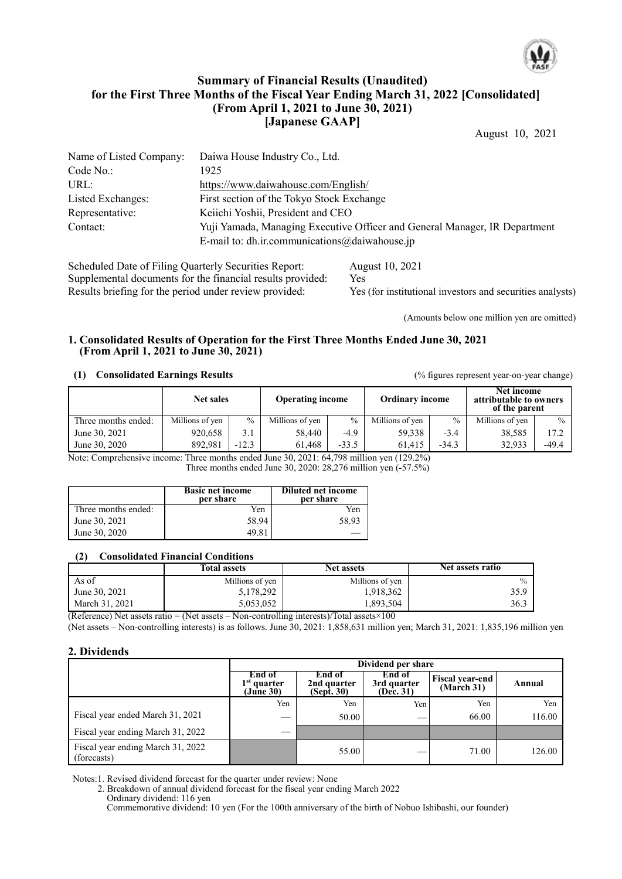

# **Summary of Financial Results (Unaudited) for the First Three Months of the Fiscal Year Ending March 31, 2022 [Consolidated] (From April 1, 2021 to June 30, 2021) [Japanese GAAP]**

August 10, 2021

| Name of Listed Company: | Daiwa House Industry Co., Ltd.                                             |
|-------------------------|----------------------------------------------------------------------------|
| Code No.:               | 1925                                                                       |
| URL:                    | https://www.daiwahouse.com/English/                                        |
| Listed Exchanges:       | First section of the Tokyo Stock Exchange                                  |
| Representative:         | Keiichi Yoshii, President and CEO                                          |
| Contact:                | Yuji Yamada, Managing Executive Officer and General Manager, IR Department |
|                         | E-mail to: dh.ir.communications $\omega$ daiwahouse.jp                     |

Scheduled Date of Filing Quarterly Securities Report: August 10, 2021 Supplemental documents for the financial results provided: Yes<br>Results briefing for the period under review provided: Yes Yes (for institutional investors and securities analysts)

(Amounts below one million yen are omitted)

## **1. Consolidated Results of Operation for the First Three Months Ended June 30, 2021 (From April 1, 2021 to June 30, 2021)**

#### **(1) Consolidated Earnings Results** (% figures represent year-on-year change)

|                     | <b>Net sales</b> |               | <b>Operating income</b> |         | <b>Ordinary income</b> |               | Net income<br>attributable to owners<br>of the parent |               |
|---------------------|------------------|---------------|-------------------------|---------|------------------------|---------------|-------------------------------------------------------|---------------|
| Three months ended: | Millions of yen  | $\frac{0}{0}$ | Millions of yen         | $\%$    | Millions of yen        | $\frac{0}{0}$ | Millions of yen                                       | $\frac{0}{0}$ |
| June 30, 2021       | 920,658          | 3.1           | 58.440                  | $-4.9$  | 59.338                 | $-3.4$        | 38,585                                                | 17.2          |
| June 30, 2020       | 892.981          | $-12.3$       | 61.468                  | $-33.5$ | 61.415                 | $-34.3$       | 32.933                                                | $-49.4$       |

Note: Comprehensive income: Three months ended June 30, 2021: 64,798 million yen (129.2%) Three months ended June 30, 2020: 28,276 million yen (-57.5%)

|                     | <b>Basic net income</b><br>per share | <b>Diluted net income</b><br>per share |
|---------------------|--------------------------------------|----------------------------------------|
| Three months ended: | Yen                                  | Yen                                    |
| June 30, 2021       | 58.94                                | 58.93                                  |
| June 30, 2020       | 49.81                                |                                        |

#### **(2) Consolidated Financial Conditions**

|                | <b>Total assets</b> | <b>Net assets</b> | Net assets ratio |
|----------------|---------------------|-------------------|------------------|
| As of          | Millions of yen     | Millions of yen   | $\frac{0}{0}$    |
| June 30, 2021  | 5,178,292           | 1,918,362         | 35.9             |
| March 31, 2021 | 5,053,052           | 1,893,504         | 36.3             |

(Reference) Net assets ratio = (Net assets – Non-controlling interests)/Total assets $\times$ 100

(Net assets – Non-controlling interests) is as follows. June 30, 2021: 1,858,631 million yen; March 31, 2021: 1,835,196 million yen

#### **2. Dividends**

|                                                  |                                      | Dividend per share                          |                                    |                                      |        |  |  |
|--------------------------------------------------|--------------------------------------|---------------------------------------------|------------------------------------|--------------------------------------|--------|--|--|
|                                                  | End of<br>$1st$ quarter<br>(June 30) | End of<br>2nd quarter<br>$(Sep\bar{t}, 30)$ | End of<br>3rd quarter<br>(Dec. 31) | <b>Fiscal year-end</b><br>(March 31) | Annual |  |  |
|                                                  | Yen                                  | Yen                                         | Yen                                | Yen                                  | Yen    |  |  |
| Fiscal year ended March 31, 2021                 | $\sim$                               | 50.00                                       |                                    | 66.00                                | 116.00 |  |  |
| Fiscal year ending March 31, 2022                | <b>STATISTICS</b>                    |                                             |                                    |                                      |        |  |  |
| Fiscal year ending March 31, 2022<br>(forecasts) |                                      | 55.00                                       |                                    | 71.00                                | 126.00 |  |  |

Notes:1. Revised dividend forecast for the quarter under review: None

2. Breakdown of annual dividend forecast for the fiscal year ending March 2022

Commemorative dividend: 10 yen (For the 100th anniversary of the birth of Nobuo Ishibashi, our founder)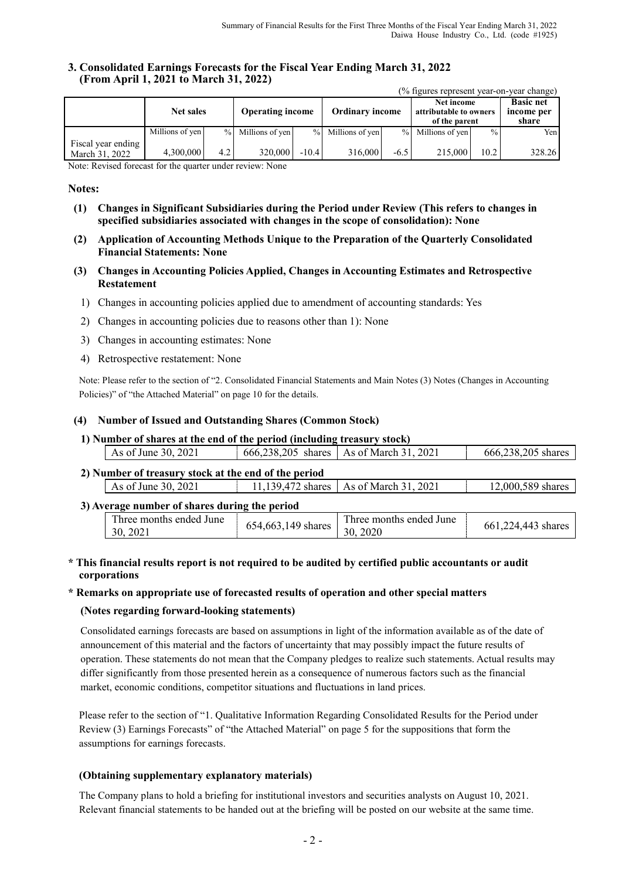#### **3. Consolidated Earnings Forecasts for the Fiscal Year Ending March 31, 2022 (From April 1, 2021 to March 31, 2022)**

|                                      |                                             |                  |                   |         |                        |        | (% figures represent year-on-year change)             |               |                                         |
|--------------------------------------|---------------------------------------------|------------------|-------------------|---------|------------------------|--------|-------------------------------------------------------|---------------|-----------------------------------------|
|                                      | <b>Operating income</b><br><b>Net sales</b> |                  |                   |         | <b>Ordinary income</b> |        | Net income<br>attributable to owners<br>of the parent |               | <b>Basic net</b><br>income per<br>share |
|                                      | Millions of yen                             |                  | % Millions of yen |         | % Millions of yen      |        | % Millions of yen                                     | $\frac{0}{0}$ | Yen                                     |
| Fiscal year ending<br>March 31, 2022 | 4,300,000                                   | 4.2 <sub>l</sub> | 320,000           | $-10.4$ | 316,000                | $-6.5$ | 215,000                                               | 10.2          | 328.26                                  |

Note: Revised forecast for the quarter under review: None

#### **Notes:**

- **(1) Changes in Significant Subsidiaries during the Period under Review (This refers to changes in specified subsidiaries associated with changes in the scope of consolidation): None**
- **(2) Application of Accounting Methods Unique to the Preparation of the Quarterly Consolidated Financial Statements: None**
- **(3) Changes in Accounting Policies Applied, Changes in Accounting Estimates and Retrospective Restatement**
	- 1) Changes in accounting policies applied due to amendment of accounting standards: Yes
	- 2) Changes in accounting policies due to reasons other than 1): None
	- 3) Changes in accounting estimates: None
	- 4) Retrospective restatement: None

Note: Please refer to the section of "2. Consolidated Financial Statements and Main Notes (3) Notes (Changes in Accounting Policies)" of "the Attached Material" on page 10 for the details.

#### **(4) Number of Issued and Outstanding Shares (Common Stock)**

**1) Number of shares at the end of the period (including treasury stock)**

|                                                                                      | As of June 30, 2021                                  |  | 666,238,205 shares   As of March 31, 2021 | 666,238,205 shares |  |  |  |
|--------------------------------------------------------------------------------------|------------------------------------------------------|--|-------------------------------------------|--------------------|--|--|--|
|                                                                                      | 2) Number of treasury stock at the end of the period |  |                                           |                    |  |  |  |
| 11,139,472 shares   As of March 31, 2021<br>As of June 30, 2021<br>12,000,589 shares |                                                      |  |                                           |                    |  |  |  |
| 3) Average number of shares during the period                                        |                                                      |  |                                           |                    |  |  |  |

| T <sub>1</sub><br>I hree months ended June<br>654, 663, 149 shares<br>30.<br>$202^{\circ}$ | Three months ended June<br>2020<br>30. | 24.443<br>, shares<br>601,224 |
|--------------------------------------------------------------------------------------------|----------------------------------------|-------------------------------|
|--------------------------------------------------------------------------------------------|----------------------------------------|-------------------------------|

#### **\* This financial results report is not required to be audited by certified public accountants or audit corporations**

#### **\* Remarks on appropriate use of forecasted results of operation and other special matters**

#### **(Notes regarding forward-looking statements)**

Consolidated earnings forecasts are based on assumptions in light of the information available as of the date of announcement of this material and the factors of uncertainty that may possibly impact the future results of operation. These statements do not mean that the Company pledges to realize such statements. Actual results may differ significantly from those presented herein as a consequence of numerous factors such as the financial market, economic conditions, competitor situations and fluctuations in land prices.

Please refer to the section of "1. Qualitative Information Regarding Consolidated Results for the Period under Review (3) Earnings Forecasts" of "the Attached Material" on page 5 for the suppositions that form the assumptions for earnings forecasts.

#### **(Obtaining supplementary explanatory materials)**

The Company plans to hold a briefing for institutional investors and securities analysts on August 10, 2021. Relevant financial statements to be handed out at the briefing will be posted on our website at the same time.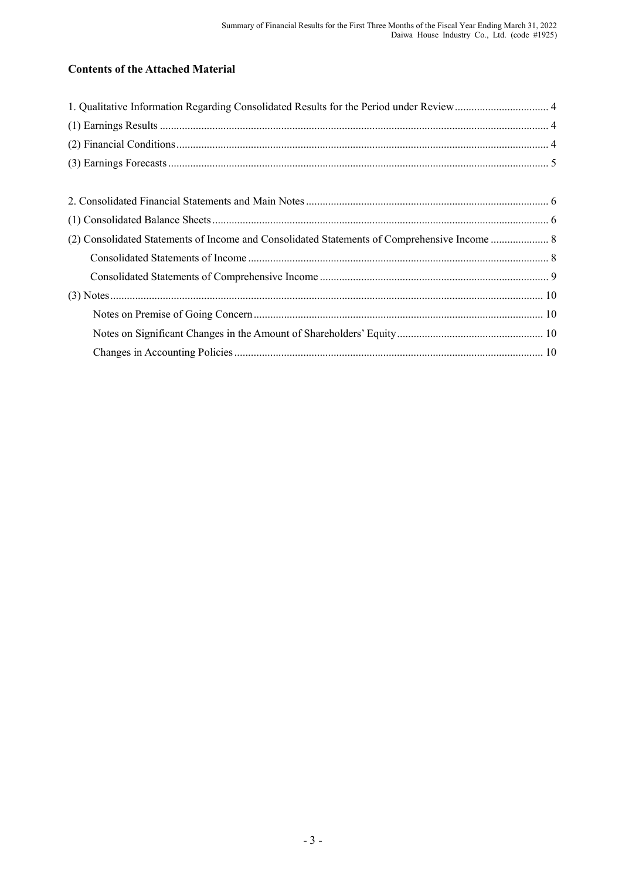# **Contents of the Attached Material**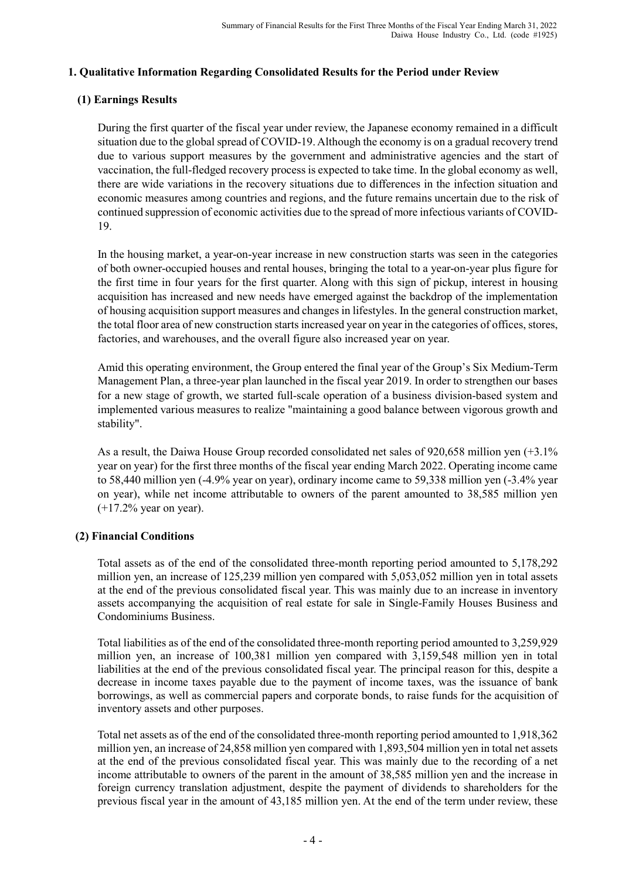# **1. Qualitative Information Regarding Consolidated Results for the Period under Review**

# **(1) Earnings Results**

During the first quarter of the fiscal year under review, the Japanese economy remained in a difficult situation due to the global spread of COVID-19. Although the economy is on a gradual recovery trend due to various support measures by the government and administrative agencies and the start of vaccination, the full-fledged recovery process is expected to take time. In the global economy as well, there are wide variations in the recovery situations due to differences in the infection situation and economic measures among countries and regions, and the future remains uncertain due to the risk of continued suppression of economic activities due to the spread of more infectious variants of COVID-19.

In the housing market, a year-on-year increase in new construction starts was seen in the categories of both owner-occupied houses and rental houses, bringing the total to a year-on-year plus figure for the first time in four years for the first quarter. Along with this sign of pickup, interest in housing acquisition has increased and new needs have emerged against the backdrop of the implementation of housing acquisition support measures and changes in lifestyles. In the general construction market, the total floor area of new construction starts increased year on year in the categories of offices, stores, factories, and warehouses, and the overall figure also increased year on year.

Amid this operating environment, the Group entered the final year of the Group's Six Medium-Term Management Plan, a three-year plan launched in the fiscal year 2019. In order to strengthen our bases for a new stage of growth, we started full-scale operation of a business division-based system and implemented various measures to realize "maintaining a good balance between vigorous growth and stability".

As a result, the Daiwa House Group recorded consolidated net sales of 920,658 million yen (+3.1% year on year) for the first three months of the fiscal year ending March 2022. Operating income came to 58,440 million yen (-4.9% year on year), ordinary income came to 59,338 million yen (-3.4% year on year), while net income attributable to owners of the parent amounted to 38,585 million yen (+17.2% year on year).

# **(2) Financial Conditions**

Total assets as of the end of the consolidated three-month reporting period amounted to 5,178,292 million yen, an increase of 125,239 million yen compared with 5,053,052 million yen in total assets at the end of the previous consolidated fiscal year. This was mainly due to an increase in inventory assets accompanying the acquisition of real estate for sale in Single-Family Houses Business and Condominiums Business.

Total liabilities as of the end of the consolidated three-month reporting period amounted to 3,259,929 million yen, an increase of 100,381 million yen compared with 3,159,548 million yen in total liabilities at the end of the previous consolidated fiscal year. The principal reason for this, despite a decrease in income taxes payable due to the payment of income taxes, was the issuance of bank borrowings, as well as commercial papers and corporate bonds, to raise funds for the acquisition of inventory assets and other purposes.

Total net assets as of the end of the consolidated three-month reporting period amounted to 1,918,362 million yen, an increase of 24,858 million yen compared with 1,893,504 million yen in total net assets at the end of the previous consolidated fiscal year. This was mainly due to the recording of a net income attributable to owners of the parent in the amount of 38,585 million yen and the increase in foreign currency translation adjustment, despite the payment of dividends to shareholders for the previous fiscal year in the amount of 43,185 million yen. At the end of the term under review, these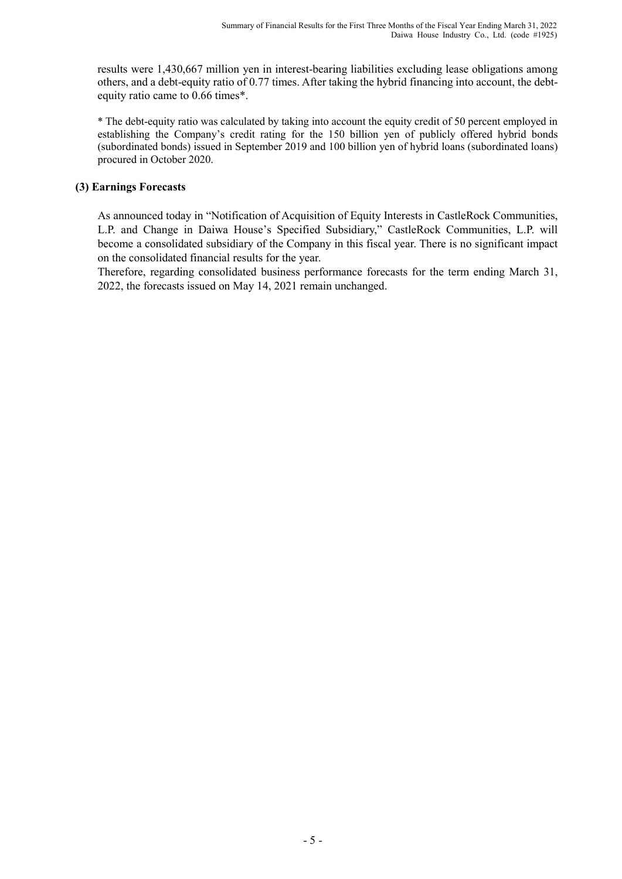results were 1,430,667 million yen in interest-bearing liabilities excluding lease obligations among others, and a debt-equity ratio of 0.77 times. After taking the hybrid financing into account, the debtequity ratio came to 0.66 times\*.

\* The debt-equity ratio was calculated by taking into account the equity credit of 50 percent employed in establishing the Company's credit rating for the 150 billion yen of publicly offered hybrid bonds (subordinated bonds) issued in September 2019 and 100 billion yen of hybrid loans (subordinated loans) procured in October 2020.

# **(3) Earnings Forecasts**

As announced today in "Notification of Acquisition of Equity Interests in CastleRock Communities, L.P. and Change in Daiwa House's Specified Subsidiary," CastleRock Communities, L.P. will become a consolidated subsidiary of the Company in this fiscal year. There is no significant impact on the consolidated financial results for the year.

Therefore, regarding consolidated business performance forecasts for the term ending March 31, 2022, the forecasts issued on May 14, 2021 remain unchanged.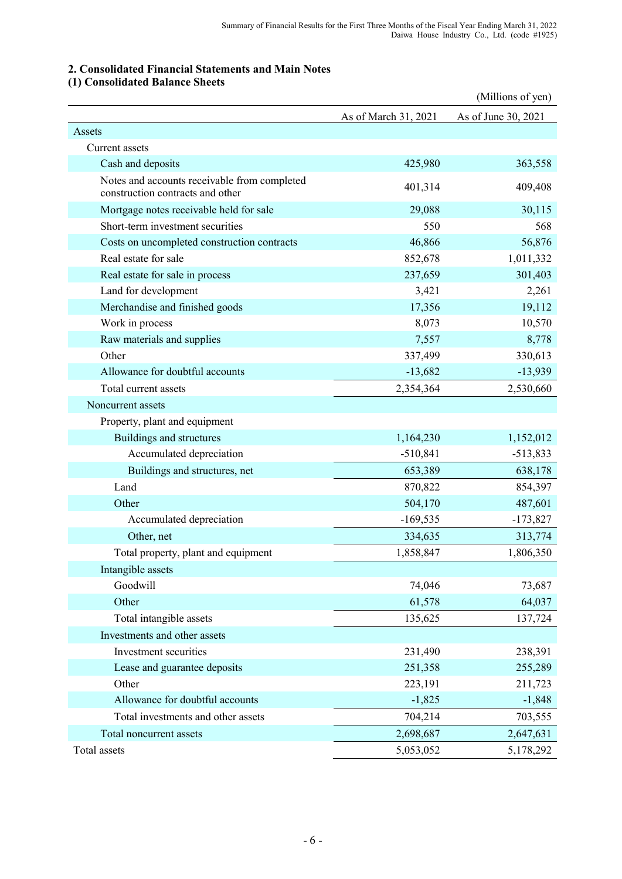# **2. Consolidated Financial Statements and Main Notes**

# **(1) Consolidated Balance Sheets**

|                                                                                  |                      | (Millions of yen)   |
|----------------------------------------------------------------------------------|----------------------|---------------------|
|                                                                                  | As of March 31, 2021 | As of June 30, 2021 |
| Assets                                                                           |                      |                     |
| Current assets                                                                   |                      |                     |
| Cash and deposits                                                                | 425,980              | 363,558             |
| Notes and accounts receivable from completed<br>construction contracts and other | 401,314              | 409,408             |
| Mortgage notes receivable held for sale                                          | 29,088               | 30,115              |
| Short-term investment securities                                                 | 550                  | 568                 |
| Costs on uncompleted construction contracts                                      | 46,866               | 56,876              |
| Real estate for sale                                                             | 852,678              | 1,011,332           |
| Real estate for sale in process                                                  | 237,659              | 301,403             |
| Land for development                                                             | 3,421                | 2,261               |
| Merchandise and finished goods                                                   | 17,356               | 19,112              |
| Work in process                                                                  | 8,073                | 10,570              |
| Raw materials and supplies                                                       | 7,557                | 8,778               |
| Other                                                                            | 337,499              | 330,613             |
| Allowance for doubtful accounts                                                  | $-13,682$            | $-13,939$           |
| Total current assets                                                             | 2,354,364            | 2,530,660           |
| Noncurrent assets                                                                |                      |                     |
| Property, plant and equipment                                                    |                      |                     |
| Buildings and structures                                                         | 1,164,230            | 1,152,012           |
| Accumulated depreciation                                                         | $-510,841$           | $-513,833$          |
| Buildings and structures, net                                                    | 653,389              | 638,178             |
| Land                                                                             | 870,822              | 854,397             |
| Other                                                                            | 504,170              | 487,601             |
| Accumulated depreciation                                                         | $-169,535$           | $-173,827$          |
| Other, net                                                                       | 334,635              | 313,774             |
| Total property, plant and equipment                                              | 1,858,847            | 1,806,350           |
| Intangible assets                                                                |                      |                     |
| Goodwill                                                                         | 74,046               | 73,687              |
| Other                                                                            | 61,578               | 64,037              |
| Total intangible assets                                                          | 135,625              | 137,724             |
| Investments and other assets                                                     |                      |                     |
| Investment securities                                                            | 231,490              | 238,391             |
| Lease and guarantee deposits                                                     | 251,358              | 255,289             |
| Other                                                                            | 223,191              | 211,723             |
| Allowance for doubtful accounts                                                  | $-1,825$             | $-1,848$            |
| Total investments and other assets                                               | 704,214              | 703,555             |
| Total noncurrent assets                                                          | 2,698,687            | 2,647,631           |
| Total assets                                                                     | 5,053,052            | 5,178,292           |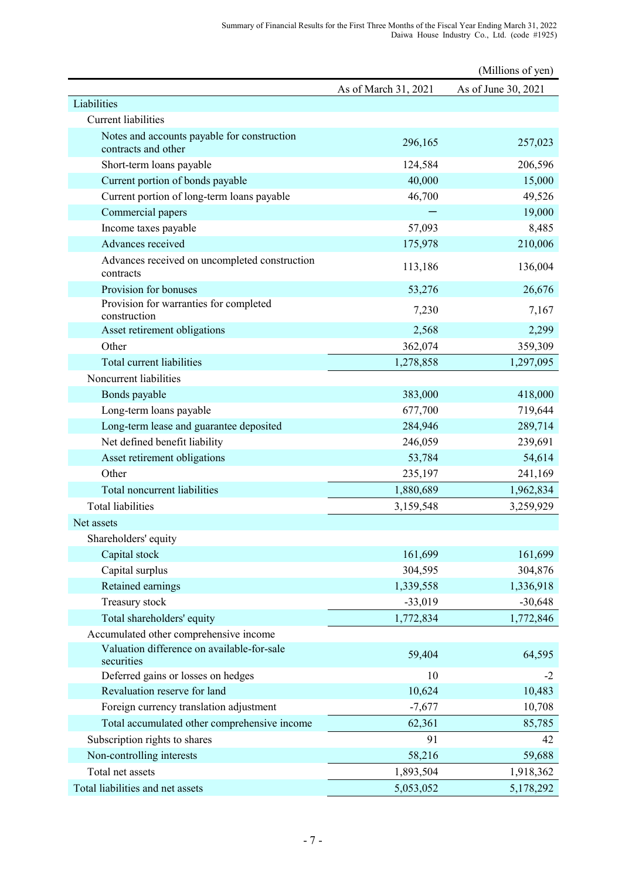| As of June 30, 2021<br>As of March 31, 2021<br>Liabilities<br><b>Current liabilities</b><br>Notes and accounts payable for construction<br>296,165<br>257,023<br>contracts and other<br>124,584<br>206,596<br>Short-term loans payable<br>Current portion of bonds payable<br>40,000<br>15,000<br>Current portion of long-term loans payable<br>46,700<br>49,526<br>19,000<br>Commercial papers<br>57,093<br>8,485<br>Income taxes payable<br>Advances received<br>210,006<br>175,978<br>Advances received on uncompleted construction<br>136,004<br>113,186<br>contracts<br>Provision for bonuses<br>53,276<br>26,676<br>Provision for warranties for completed<br>7,230<br>7,167<br>construction<br>2,568<br>2,299<br>Asset retirement obligations<br>Other<br>359,309<br>362,074<br>Total current liabilities<br>1,297,095<br>1,278,858<br>Noncurrent liabilities<br>Bonds payable<br>383,000<br>418,000<br>Long-term loans payable<br>719,644<br>677,700<br>Long-term lease and guarantee deposited<br>289,714<br>284,946<br>Net defined benefit liability<br>246,059<br>239,691<br>53,784<br>54,614<br>Asset retirement obligations<br>Other<br>235,197<br>241,169<br>Total noncurrent liabilities<br>1,880,689<br>1,962,834<br><b>Total liabilities</b><br>3,159,548<br>3,259,929<br>Net assets<br>Shareholders' equity<br>Capital stock<br>161,699<br>161,699<br>Capital surplus<br>304,595<br>304,876<br>Retained earnings<br>1,339,558<br>1,336,918<br>Treasury stock<br>$-33,019$<br>$-30,648$<br>Total shareholders' equity<br>1,772,834<br>1,772,846<br>Accumulated other comprehensive income<br>Valuation difference on available-for-sale<br>59,404<br>64,595<br>securities<br>Deferred gains or losses on hedges<br>10<br>$-2$<br>Revaluation reserve for land<br>10,483<br>10,624<br>Foreign currency translation adjustment<br>$-7,677$<br>10,708<br>Total accumulated other comprehensive income<br>62,361<br>85,785<br>Subscription rights to shares<br>91<br>42<br>Non-controlling interests<br>58,216<br>59,688<br>Total net assets<br>1,893,504<br>1,918,362 |                                  |           | (Millions of yen) |
|-------------------------------------------------------------------------------------------------------------------------------------------------------------------------------------------------------------------------------------------------------------------------------------------------------------------------------------------------------------------------------------------------------------------------------------------------------------------------------------------------------------------------------------------------------------------------------------------------------------------------------------------------------------------------------------------------------------------------------------------------------------------------------------------------------------------------------------------------------------------------------------------------------------------------------------------------------------------------------------------------------------------------------------------------------------------------------------------------------------------------------------------------------------------------------------------------------------------------------------------------------------------------------------------------------------------------------------------------------------------------------------------------------------------------------------------------------------------------------------------------------------------------------------------------------------------------------------------------------------------------------------------------------------------------------------------------------------------------------------------------------------------------------------------------------------------------------------------------------------------------------------------------------------------------------------------------------------------------------------------------------------------------------------------------------------------------------------|----------------------------------|-----------|-------------------|
|                                                                                                                                                                                                                                                                                                                                                                                                                                                                                                                                                                                                                                                                                                                                                                                                                                                                                                                                                                                                                                                                                                                                                                                                                                                                                                                                                                                                                                                                                                                                                                                                                                                                                                                                                                                                                                                                                                                                                                                                                                                                                     |                                  |           |                   |
|                                                                                                                                                                                                                                                                                                                                                                                                                                                                                                                                                                                                                                                                                                                                                                                                                                                                                                                                                                                                                                                                                                                                                                                                                                                                                                                                                                                                                                                                                                                                                                                                                                                                                                                                                                                                                                                                                                                                                                                                                                                                                     |                                  |           |                   |
|                                                                                                                                                                                                                                                                                                                                                                                                                                                                                                                                                                                                                                                                                                                                                                                                                                                                                                                                                                                                                                                                                                                                                                                                                                                                                                                                                                                                                                                                                                                                                                                                                                                                                                                                                                                                                                                                                                                                                                                                                                                                                     |                                  |           |                   |
|                                                                                                                                                                                                                                                                                                                                                                                                                                                                                                                                                                                                                                                                                                                                                                                                                                                                                                                                                                                                                                                                                                                                                                                                                                                                                                                                                                                                                                                                                                                                                                                                                                                                                                                                                                                                                                                                                                                                                                                                                                                                                     |                                  |           |                   |
|                                                                                                                                                                                                                                                                                                                                                                                                                                                                                                                                                                                                                                                                                                                                                                                                                                                                                                                                                                                                                                                                                                                                                                                                                                                                                                                                                                                                                                                                                                                                                                                                                                                                                                                                                                                                                                                                                                                                                                                                                                                                                     |                                  |           |                   |
|                                                                                                                                                                                                                                                                                                                                                                                                                                                                                                                                                                                                                                                                                                                                                                                                                                                                                                                                                                                                                                                                                                                                                                                                                                                                                                                                                                                                                                                                                                                                                                                                                                                                                                                                                                                                                                                                                                                                                                                                                                                                                     |                                  |           |                   |
|                                                                                                                                                                                                                                                                                                                                                                                                                                                                                                                                                                                                                                                                                                                                                                                                                                                                                                                                                                                                                                                                                                                                                                                                                                                                                                                                                                                                                                                                                                                                                                                                                                                                                                                                                                                                                                                                                                                                                                                                                                                                                     |                                  |           |                   |
|                                                                                                                                                                                                                                                                                                                                                                                                                                                                                                                                                                                                                                                                                                                                                                                                                                                                                                                                                                                                                                                                                                                                                                                                                                                                                                                                                                                                                                                                                                                                                                                                                                                                                                                                                                                                                                                                                                                                                                                                                                                                                     |                                  |           |                   |
|                                                                                                                                                                                                                                                                                                                                                                                                                                                                                                                                                                                                                                                                                                                                                                                                                                                                                                                                                                                                                                                                                                                                                                                                                                                                                                                                                                                                                                                                                                                                                                                                                                                                                                                                                                                                                                                                                                                                                                                                                                                                                     |                                  |           |                   |
|                                                                                                                                                                                                                                                                                                                                                                                                                                                                                                                                                                                                                                                                                                                                                                                                                                                                                                                                                                                                                                                                                                                                                                                                                                                                                                                                                                                                                                                                                                                                                                                                                                                                                                                                                                                                                                                                                                                                                                                                                                                                                     |                                  |           |                   |
|                                                                                                                                                                                                                                                                                                                                                                                                                                                                                                                                                                                                                                                                                                                                                                                                                                                                                                                                                                                                                                                                                                                                                                                                                                                                                                                                                                                                                                                                                                                                                                                                                                                                                                                                                                                                                                                                                                                                                                                                                                                                                     |                                  |           |                   |
|                                                                                                                                                                                                                                                                                                                                                                                                                                                                                                                                                                                                                                                                                                                                                                                                                                                                                                                                                                                                                                                                                                                                                                                                                                                                                                                                                                                                                                                                                                                                                                                                                                                                                                                                                                                                                                                                                                                                                                                                                                                                                     |                                  |           |                   |
|                                                                                                                                                                                                                                                                                                                                                                                                                                                                                                                                                                                                                                                                                                                                                                                                                                                                                                                                                                                                                                                                                                                                                                                                                                                                                                                                                                                                                                                                                                                                                                                                                                                                                                                                                                                                                                                                                                                                                                                                                                                                                     |                                  |           |                   |
|                                                                                                                                                                                                                                                                                                                                                                                                                                                                                                                                                                                                                                                                                                                                                                                                                                                                                                                                                                                                                                                                                                                                                                                                                                                                                                                                                                                                                                                                                                                                                                                                                                                                                                                                                                                                                                                                                                                                                                                                                                                                                     |                                  |           |                   |
|                                                                                                                                                                                                                                                                                                                                                                                                                                                                                                                                                                                                                                                                                                                                                                                                                                                                                                                                                                                                                                                                                                                                                                                                                                                                                                                                                                                                                                                                                                                                                                                                                                                                                                                                                                                                                                                                                                                                                                                                                                                                                     |                                  |           |                   |
|                                                                                                                                                                                                                                                                                                                                                                                                                                                                                                                                                                                                                                                                                                                                                                                                                                                                                                                                                                                                                                                                                                                                                                                                                                                                                                                                                                                                                                                                                                                                                                                                                                                                                                                                                                                                                                                                                                                                                                                                                                                                                     |                                  |           |                   |
|                                                                                                                                                                                                                                                                                                                                                                                                                                                                                                                                                                                                                                                                                                                                                                                                                                                                                                                                                                                                                                                                                                                                                                                                                                                                                                                                                                                                                                                                                                                                                                                                                                                                                                                                                                                                                                                                                                                                                                                                                                                                                     |                                  |           |                   |
|                                                                                                                                                                                                                                                                                                                                                                                                                                                                                                                                                                                                                                                                                                                                                                                                                                                                                                                                                                                                                                                                                                                                                                                                                                                                                                                                                                                                                                                                                                                                                                                                                                                                                                                                                                                                                                                                                                                                                                                                                                                                                     |                                  |           |                   |
|                                                                                                                                                                                                                                                                                                                                                                                                                                                                                                                                                                                                                                                                                                                                                                                                                                                                                                                                                                                                                                                                                                                                                                                                                                                                                                                                                                                                                                                                                                                                                                                                                                                                                                                                                                                                                                                                                                                                                                                                                                                                                     |                                  |           |                   |
|                                                                                                                                                                                                                                                                                                                                                                                                                                                                                                                                                                                                                                                                                                                                                                                                                                                                                                                                                                                                                                                                                                                                                                                                                                                                                                                                                                                                                                                                                                                                                                                                                                                                                                                                                                                                                                                                                                                                                                                                                                                                                     |                                  |           |                   |
|                                                                                                                                                                                                                                                                                                                                                                                                                                                                                                                                                                                                                                                                                                                                                                                                                                                                                                                                                                                                                                                                                                                                                                                                                                                                                                                                                                                                                                                                                                                                                                                                                                                                                                                                                                                                                                                                                                                                                                                                                                                                                     |                                  |           |                   |
|                                                                                                                                                                                                                                                                                                                                                                                                                                                                                                                                                                                                                                                                                                                                                                                                                                                                                                                                                                                                                                                                                                                                                                                                                                                                                                                                                                                                                                                                                                                                                                                                                                                                                                                                                                                                                                                                                                                                                                                                                                                                                     |                                  |           |                   |
|                                                                                                                                                                                                                                                                                                                                                                                                                                                                                                                                                                                                                                                                                                                                                                                                                                                                                                                                                                                                                                                                                                                                                                                                                                                                                                                                                                                                                                                                                                                                                                                                                                                                                                                                                                                                                                                                                                                                                                                                                                                                                     |                                  |           |                   |
|                                                                                                                                                                                                                                                                                                                                                                                                                                                                                                                                                                                                                                                                                                                                                                                                                                                                                                                                                                                                                                                                                                                                                                                                                                                                                                                                                                                                                                                                                                                                                                                                                                                                                                                                                                                                                                                                                                                                                                                                                                                                                     |                                  |           |                   |
|                                                                                                                                                                                                                                                                                                                                                                                                                                                                                                                                                                                                                                                                                                                                                                                                                                                                                                                                                                                                                                                                                                                                                                                                                                                                                                                                                                                                                                                                                                                                                                                                                                                                                                                                                                                                                                                                                                                                                                                                                                                                                     |                                  |           |                   |
|                                                                                                                                                                                                                                                                                                                                                                                                                                                                                                                                                                                                                                                                                                                                                                                                                                                                                                                                                                                                                                                                                                                                                                                                                                                                                                                                                                                                                                                                                                                                                                                                                                                                                                                                                                                                                                                                                                                                                                                                                                                                                     |                                  |           |                   |
|                                                                                                                                                                                                                                                                                                                                                                                                                                                                                                                                                                                                                                                                                                                                                                                                                                                                                                                                                                                                                                                                                                                                                                                                                                                                                                                                                                                                                                                                                                                                                                                                                                                                                                                                                                                                                                                                                                                                                                                                                                                                                     |                                  |           |                   |
|                                                                                                                                                                                                                                                                                                                                                                                                                                                                                                                                                                                                                                                                                                                                                                                                                                                                                                                                                                                                                                                                                                                                                                                                                                                                                                                                                                                                                                                                                                                                                                                                                                                                                                                                                                                                                                                                                                                                                                                                                                                                                     |                                  |           |                   |
|                                                                                                                                                                                                                                                                                                                                                                                                                                                                                                                                                                                                                                                                                                                                                                                                                                                                                                                                                                                                                                                                                                                                                                                                                                                                                                                                                                                                                                                                                                                                                                                                                                                                                                                                                                                                                                                                                                                                                                                                                                                                                     |                                  |           |                   |
|                                                                                                                                                                                                                                                                                                                                                                                                                                                                                                                                                                                                                                                                                                                                                                                                                                                                                                                                                                                                                                                                                                                                                                                                                                                                                                                                                                                                                                                                                                                                                                                                                                                                                                                                                                                                                                                                                                                                                                                                                                                                                     |                                  |           |                   |
|                                                                                                                                                                                                                                                                                                                                                                                                                                                                                                                                                                                                                                                                                                                                                                                                                                                                                                                                                                                                                                                                                                                                                                                                                                                                                                                                                                                                                                                                                                                                                                                                                                                                                                                                                                                                                                                                                                                                                                                                                                                                                     |                                  |           |                   |
|                                                                                                                                                                                                                                                                                                                                                                                                                                                                                                                                                                                                                                                                                                                                                                                                                                                                                                                                                                                                                                                                                                                                                                                                                                                                                                                                                                                                                                                                                                                                                                                                                                                                                                                                                                                                                                                                                                                                                                                                                                                                                     |                                  |           |                   |
|                                                                                                                                                                                                                                                                                                                                                                                                                                                                                                                                                                                                                                                                                                                                                                                                                                                                                                                                                                                                                                                                                                                                                                                                                                                                                                                                                                                                                                                                                                                                                                                                                                                                                                                                                                                                                                                                                                                                                                                                                                                                                     |                                  |           |                   |
|                                                                                                                                                                                                                                                                                                                                                                                                                                                                                                                                                                                                                                                                                                                                                                                                                                                                                                                                                                                                                                                                                                                                                                                                                                                                                                                                                                                                                                                                                                                                                                                                                                                                                                                                                                                                                                                                                                                                                                                                                                                                                     |                                  |           |                   |
|                                                                                                                                                                                                                                                                                                                                                                                                                                                                                                                                                                                                                                                                                                                                                                                                                                                                                                                                                                                                                                                                                                                                                                                                                                                                                                                                                                                                                                                                                                                                                                                                                                                                                                                                                                                                                                                                                                                                                                                                                                                                                     |                                  |           |                   |
|                                                                                                                                                                                                                                                                                                                                                                                                                                                                                                                                                                                                                                                                                                                                                                                                                                                                                                                                                                                                                                                                                                                                                                                                                                                                                                                                                                                                                                                                                                                                                                                                                                                                                                                                                                                                                                                                                                                                                                                                                                                                                     |                                  |           |                   |
|                                                                                                                                                                                                                                                                                                                                                                                                                                                                                                                                                                                                                                                                                                                                                                                                                                                                                                                                                                                                                                                                                                                                                                                                                                                                                                                                                                                                                                                                                                                                                                                                                                                                                                                                                                                                                                                                                                                                                                                                                                                                                     |                                  |           |                   |
|                                                                                                                                                                                                                                                                                                                                                                                                                                                                                                                                                                                                                                                                                                                                                                                                                                                                                                                                                                                                                                                                                                                                                                                                                                                                                                                                                                                                                                                                                                                                                                                                                                                                                                                                                                                                                                                                                                                                                                                                                                                                                     |                                  |           |                   |
|                                                                                                                                                                                                                                                                                                                                                                                                                                                                                                                                                                                                                                                                                                                                                                                                                                                                                                                                                                                                                                                                                                                                                                                                                                                                                                                                                                                                                                                                                                                                                                                                                                                                                                                                                                                                                                                                                                                                                                                                                                                                                     |                                  |           |                   |
|                                                                                                                                                                                                                                                                                                                                                                                                                                                                                                                                                                                                                                                                                                                                                                                                                                                                                                                                                                                                                                                                                                                                                                                                                                                                                                                                                                                                                                                                                                                                                                                                                                                                                                                                                                                                                                                                                                                                                                                                                                                                                     |                                  |           |                   |
|                                                                                                                                                                                                                                                                                                                                                                                                                                                                                                                                                                                                                                                                                                                                                                                                                                                                                                                                                                                                                                                                                                                                                                                                                                                                                                                                                                                                                                                                                                                                                                                                                                                                                                                                                                                                                                                                                                                                                                                                                                                                                     |                                  |           |                   |
|                                                                                                                                                                                                                                                                                                                                                                                                                                                                                                                                                                                                                                                                                                                                                                                                                                                                                                                                                                                                                                                                                                                                                                                                                                                                                                                                                                                                                                                                                                                                                                                                                                                                                                                                                                                                                                                                                                                                                                                                                                                                                     |                                  |           |                   |
|                                                                                                                                                                                                                                                                                                                                                                                                                                                                                                                                                                                                                                                                                                                                                                                                                                                                                                                                                                                                                                                                                                                                                                                                                                                                                                                                                                                                                                                                                                                                                                                                                                                                                                                                                                                                                                                                                                                                                                                                                                                                                     | Total liabilities and net assets | 5,053,052 | 5,178,292         |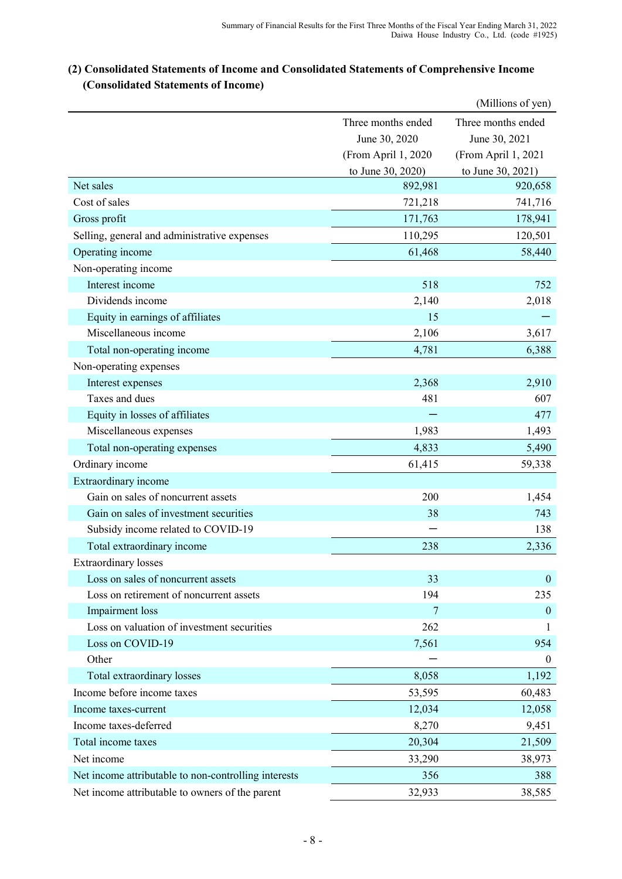# (Millions of yen) Three months ended Three months ended June 30, 2020 June 30, 2021 (From April 1, 2020 (From April 1, 2021 to June 30, 2020) to June 30, 2021) Net sales 892,981 920,658  $\frac{1}{721,218}$   $\frac{741,716}{741,716}$ Gross profit 171,763 178,941 Selling, general and administrative expenses 110,295 120,501 Operating income 61,468 58,440 Non-operating income Interest income 518 752 Dividends income 2,018 Equity in earnings of affiliates 15 Miscellaneous income 2,106 3,617 Total non-operating income 6,388 6,388 Non-operating expenses Interest expenses 2,910 Taxes and dues  $481$  607 Equity in losses of affiliates  $-$  477 Miscellaneous expenses 1,983 1,493 Total non-operating expenses 6.490 5,490 Ordinary income 61,415 59,338 Extraordinary income Gain on sales of noncurrent assets 200 1,454 Gain on sales of investment securities 38 743 Subsidy income related to COVID-19  $-$  138 Total extraordinary income 238 2,336 Extraordinary losses Loss on sales of noncurrent assets 33 0 Loss on retirement of noncurrent assets 194 235 Impairment loss 0 Loss on valuation of investment securities 262 1  $\frac{1}{2}$  Loss on COVID-19 954 Other  $-$  0 Total extraordinary losses 8,058 1,192 Income before income taxes 60,483 Income taxes-current 12,058 12,034 12,058 Income taxes-deferred 8,270 9,451 Total income taxes 20,304 21,509 Net income 33,290 38,973 Net income attributable to non-controlling interests 356 388 Net income attributable to owners of the parent 32,933 38,585

# **(2) Consolidated Statements of Income and Consolidated Statements of Comprehensive Income (Consolidated Statements of Income)**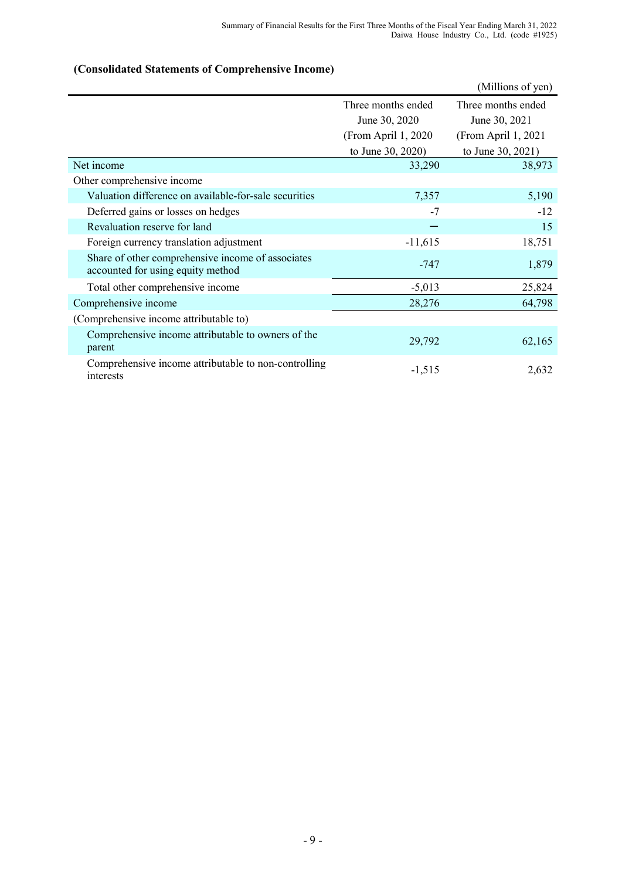# **(Consolidated Statements of Comprehensive Income)**

|                                                                                        |                      | (Millions of yen)    |
|----------------------------------------------------------------------------------------|----------------------|----------------------|
|                                                                                        | Three months ended   | Three months ended   |
|                                                                                        | June 30, 2020        | June 30, 2021        |
|                                                                                        | (From April 1, 2020) | (From April 1, 2021) |
|                                                                                        | to June 30, 2020)    | to June 30, 2021)    |
| Net income                                                                             | 33,290               | 38,973               |
| Other comprehensive income                                                             |                      |                      |
| Valuation difference on available-for-sale securities                                  | 7,357                | 5,190                |
| Deferred gains or losses on hedges                                                     | $-7$                 | $-12$                |
| Revaluation reserve for land                                                           |                      | 15                   |
| Foreign currency translation adjustment                                                | $-11,615$            | 18,751               |
| Share of other comprehensive income of associates<br>accounted for using equity method | $-747$               | 1,879                |
| Total other comprehensive income                                                       | $-5,013$             | 25,824               |
| Comprehensive income                                                                   | 28,276               | 64,798               |
| (Comprehensive income attributable to)                                                 |                      |                      |
| Comprehensive income attributable to owners of the<br>parent                           | 29,792               | 62,165               |
| Comprehensive income attributable to non-controlling<br>interests                      | $-1,515$             | 2,632                |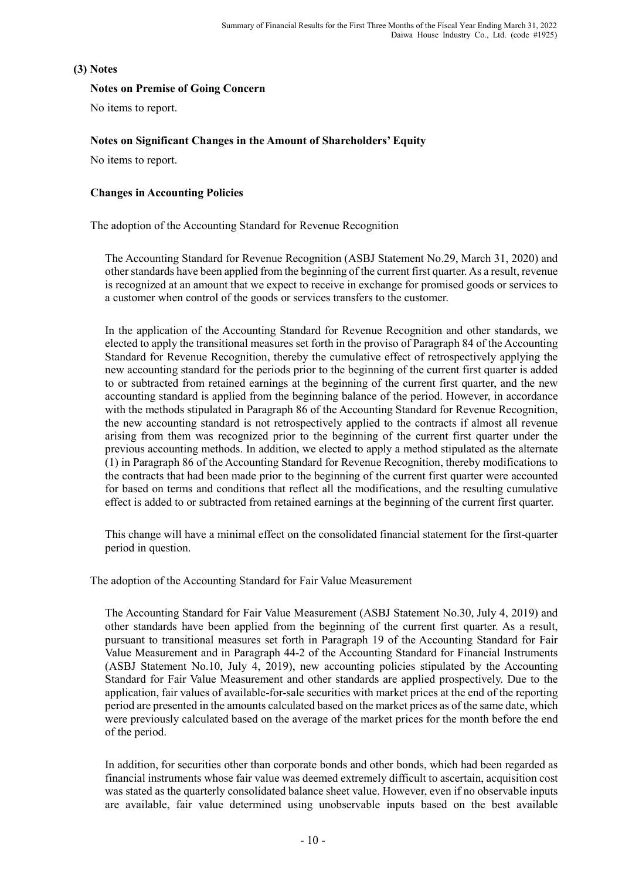## **(3) Notes**

## **Notes on Premise of Going Concern**

No items to report.

## **Notes on Significant Changes in the Amount of Shareholders' Equity**

No items to report.

## **Changes in Accounting Policies**

The adoption of the Accounting Standard for Revenue Recognition

The Accounting Standard for Revenue Recognition (ASBJ Statement No.29, March 31, 2020) and other standards have been applied from the beginning of the current first quarter. As a result, revenue is recognized at an amount that we expect to receive in exchange for promised goods or services to a customer when control of the goods or services transfers to the customer.

In the application of the Accounting Standard for Revenue Recognition and other standards, we elected to apply the transitional measures set forth in the proviso of Paragraph 84 of the Accounting Standard for Revenue Recognition, thereby the cumulative effect of retrospectively applying the new accounting standard for the periods prior to the beginning of the current first quarter is added to or subtracted from retained earnings at the beginning of the current first quarter, and the new accounting standard is applied from the beginning balance of the period. However, in accordance with the methods stipulated in Paragraph 86 of the Accounting Standard for Revenue Recognition, the new accounting standard is not retrospectively applied to the contracts if almost all revenue arising from them was recognized prior to the beginning of the current first quarter under the previous accounting methods. In addition, we elected to apply a method stipulated as the alternate (1) in Paragraph 86 of the Accounting Standard for Revenue Recognition, thereby modifications to the contracts that had been made prior to the beginning of the current first quarter were accounted for based on terms and conditions that reflect all the modifications, and the resulting cumulative effect is added to or subtracted from retained earnings at the beginning of the current first quarter.

This change will have a minimal effect on the consolidated financial statement for the first-quarter period in question.

The adoption of the Accounting Standard for Fair Value Measurement

The Accounting Standard for Fair Value Measurement (ASBJ Statement No.30, July 4, 2019) and other standards have been applied from the beginning of the current first quarter. As a result, pursuant to transitional measures set forth in Paragraph 19 of the Accounting Standard for Fair Value Measurement and in Paragraph 44-2 of the Accounting Standard for Financial Instruments (ASBJ Statement No.10, July 4, 2019), new accounting policies stipulated by the Accounting Standard for Fair Value Measurement and other standards are applied prospectively. Due to the application, fair values of available-for-sale securities with market prices at the end of the reporting period are presented in the amounts calculated based on the market prices as of the same date, which were previously calculated based on the average of the market prices for the month before the end of the period.

In addition, for securities other than corporate bonds and other bonds, which had been regarded as financial instruments whose fair value was deemed extremely difficult to ascertain, acquisition cost was stated as the quarterly consolidated balance sheet value. However, even if no observable inputs are available, fair value determined using unobservable inputs based on the best available